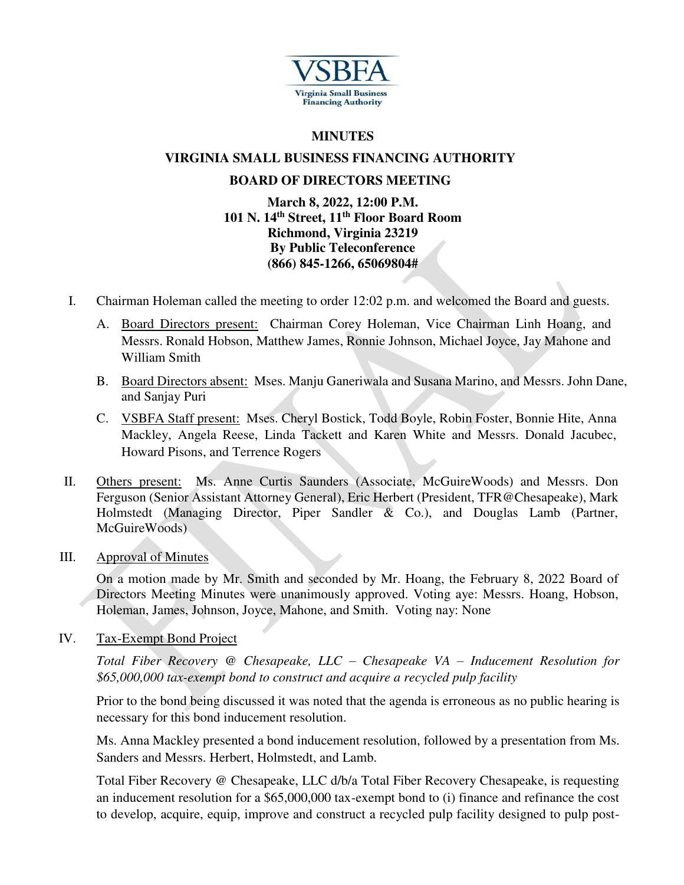

## **MINUTES**

# **VIRGINIA SMALL BUSINESS FINANCING AUTHORITY**

## **BOARD OF DIRECTORS MEETING**

### **March 8, 2022, 12:00 P.M. 101 N. 14th Street, 11th Floor Board Room Richmond, Virginia 23219 By Public Teleconference (866) 845-1266, 65069804#**

- I. Chairman Holeman called the meeting to order 12:02 p.m. and welcomed the Board and guests.
	- A. Board Directors present: Chairman Corey Holeman, Vice Chairman Linh Hoang, and Messrs. Ronald Hobson, Matthew James, Ronnie Johnson, Michael Joyce, Jay Mahone and William Smith
	- B. Board Directors absent: Mses. Manju Ganeriwala and Susana Marino, and Messrs. John Dane, and Sanjay Puri
	- C. VSBFA Staff present: Mses. Cheryl Bostick, Todd Boyle, Robin Foster, Bonnie Hite, Anna Mackley, Angela Reese, Linda Tackett and Karen White and Messrs. Donald Jacubec, Howard Pisons, and Terrence Rogers
- II. Others present: Ms. Anne Curtis Saunders (Associate, McGuireWoods) and Messrs. Don Ferguson (Senior Assistant Attorney General), Eric Herbert (President, TFR@Chesapeake), Mark Holmstedt (Managing Director, Piper Sandler & Co.), and Douglas Lamb (Partner, McGuireWoods)
- III. Approval of Minutes

On a motion made by Mr. Smith and seconded by Mr. Hoang, the February 8, 2022 Board of Directors Meeting Minutes were unanimously approved. Voting aye: Messrs. Hoang, Hobson, Holeman, James, Johnson, Joyce, Mahone, and Smith. Voting nay: None

IV. Tax-Exempt Bond Project

*Total Fiber Recovery @ Chesapeake, LLC – Chesapeake VA – Inducement Resolution for \$65,000,000 tax-exempt bond to construct and acquire a recycled pulp facility* 

Prior to the bond being discussed it was noted that the agenda is erroneous as no public hearing is necessary for this bond inducement resolution.

Ms. Anna Mackley presented a bond inducement resolution, followed by a presentation from Ms. Sanders and Messrs. Herbert, Holmstedt, and Lamb.

Total Fiber Recovery @ Chesapeake, LLC d/b/a Total Fiber Recovery Chesapeake, is requesting an inducement resolution for a \$65,000,000 tax-exempt bond to (i) finance and refinance the cost to develop, acquire, equip, improve and construct a recycled pulp facility designed to pulp post